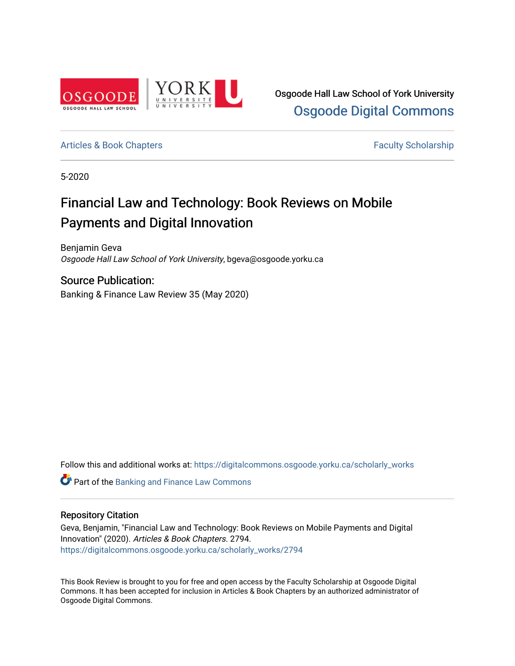

Osgoode Hall Law School of York University [Osgoode Digital Commons](https://digitalcommons.osgoode.yorku.ca/) 

[Articles & Book Chapters](https://digitalcommons.osgoode.yorku.ca/scholarly_works) **Faculty Scholarship Faculty Scholarship** 

5-2020

# Financial Law and Technology: Book Reviews on Mobile Payments and Digital Innovation

Benjamin Geva Osgoode Hall Law School of York University, bgeva@osgoode.yorku.ca

Source Publication: Banking & Finance Law Review 35 (May 2020)

Follow this and additional works at: [https://digitalcommons.osgoode.yorku.ca/scholarly\\_works](https://digitalcommons.osgoode.yorku.ca/scholarly_works?utm_source=digitalcommons.osgoode.yorku.ca%2Fscholarly_works%2F2794&utm_medium=PDF&utm_campaign=PDFCoverPages) 

**C** Part of the Banking and Finance Law Commons

### Repository Citation

Geva, Benjamin, "Financial Law and Technology: Book Reviews on Mobile Payments and Digital Innovation" (2020). Articles & Book Chapters. 2794. [https://digitalcommons.osgoode.yorku.ca/scholarly\\_works/2794](https://digitalcommons.osgoode.yorku.ca/scholarly_works/2794?utm_source=digitalcommons.osgoode.yorku.ca%2Fscholarly_works%2F2794&utm_medium=PDF&utm_campaign=PDFCoverPages)

This Book Review is brought to you for free and open access by the Faculty Scholarship at Osgoode Digital Commons. It has been accepted for inclusion in Articles & Book Chapters by an authorized administrator of Osgoode Digital Commons.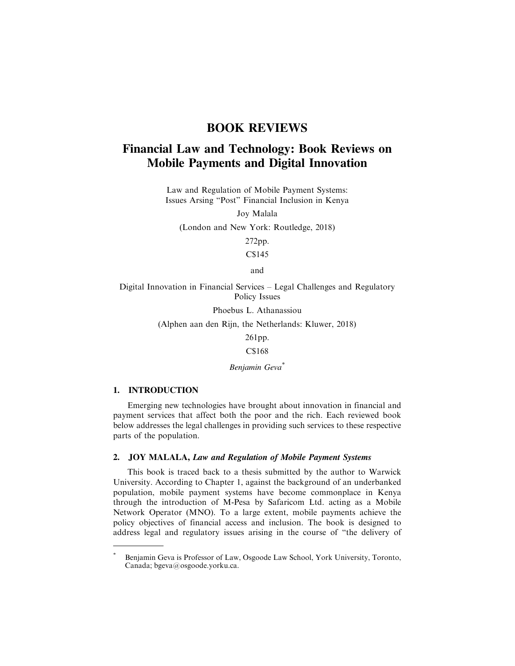## **BOOK REVIEWS**

# **Financial Law and Technology: Book Reviews on Mobile Payments and Digital Innovation**

Law and Regulation of Mobile Payment Systems: Issues Arsing "Post" Financial Inclusion in Kenya

Joy Malala

(London and New York: Routledge, 2018)

272pp.

C\$145

and

Digital Innovation in Financial Services – Legal Challenges and Regulatory Policy Issues

Phoebus L. Athanassiou

(Alphen aan den Rijn, the Netherlands: Kluwer, 2018)

261pp.

C\$168

*Benjamin Geva*\*

#### **1. INTRODUCTION**

Emerging new technologies have brought about innovation in financial and payment services that affect both the poor and the rich. Each reviewed book below addresses the legal challenges in providing such services to these respective parts of the population.

#### **2. JOY MALALA,** *Law and Regulation of Mobile Payment Systems*

This book is traced back to a thesis submitted by the author to Warwick University. According to Chapter 1, against the background of an underbanked population, mobile payment systems have become commonplace in Kenya through the introduction of M-Pesa by Safaricom Ltd. acting as a Mobile Network Operator (MNO). To a large extent, mobile payments achieve the policy objectives of financial access and inclusion. The book is designed to address legal and regulatory issues arising in the course of "the delivery of

Benjamin Geva is Professor of Law, Osgoode Law School, York University, Toronto, Canada; bgeva@osgoode.yorku.ca.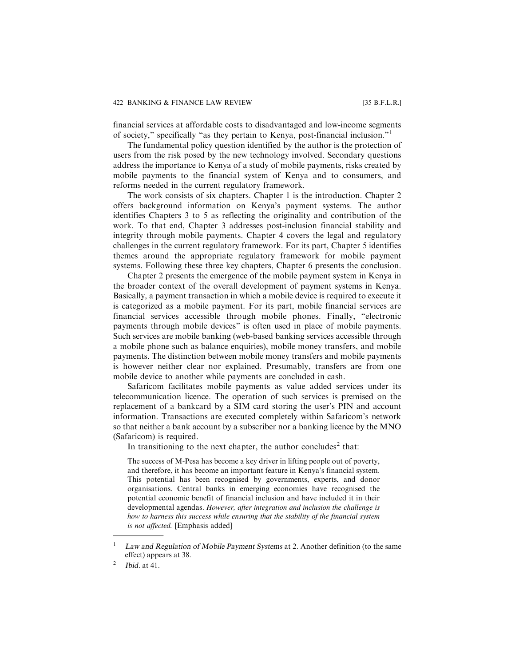financial services at affordable costs to disadvantaged and low-income segments of society," specifically "as they pertain to Kenya, post-financial inclusion."<sup>1</sup>

The fundamental policy question identified by the author is the protection of users from the risk posed by the new technology involved. Secondary questions address the importance to Kenya of a study of mobile payments, risks created by mobile payments to the financial system of Kenya and to consumers, and reforms needed in the current regulatory framework.

The work consists of six chapters. Chapter 1 is the introduction. Chapter 2 offers background information on Kenya's payment systems. The author identifies Chapters 3 to 5 as reflecting the originality and contribution of the work. To that end, Chapter 3 addresses post-inclusion financial stability and integrity through mobile payments. Chapter 4 covers the legal and regulatory challenges in the current regulatory framework. For its part, Chapter 5 identifies themes around the appropriate regulatory framework for mobile payment systems. Following these three key chapters, Chapter 6 presents the conclusion.

Chapter 2 presents the emergence of the mobile payment system in Kenya in the broader context of the overall development of payment systems in Kenya. Basically, a payment transaction in which a mobile device is required to execute it is categorized as a mobile payment. For its part, mobile financial services are financial services accessible through mobile phones. Finally, "electronic payments through mobile devices" is often used in place of mobile payments. Such services are mobile banking (web-based banking services accessible through a mobile phone such as balance enquiries), mobile money transfers, and mobile payments. The distinction between mobile money transfers and mobile payments is however neither clear nor explained. Presumably, transfers are from one mobile device to another while payments are concluded in cash.

Safaricom facilitates mobile payments as value added services under its telecommunication licence. The operation of such services is premised on the replacement of a bankcard by a SIM card storing the user's PIN and account information. Transactions are executed completely within Safaricom's network so that neither a bank account by a subscriber nor a banking licence by the MNO (Safaricom) is required.

In transitioning to the next chapter, the author concludes<sup>2</sup> that:

The success of M-Pesa has become a key driver in lifting people out of poverty, and therefore, it has become an important feature in Kenya's financial system. This potential has been recognised by governments, experts, and donor organisations. Central banks in emerging economies have recognised the potential economic benefit of financial inclusion and have included it in their developmental agendas. *However, after integration and inclusion the challenge is how to harness this success while ensuring that the stability of the financial system is not affected.* [Emphasis added]

Law and Regulation of Mobile Payment Systems at 2. Another definition (to the same effect) appears at 38.

Ibid. at 41.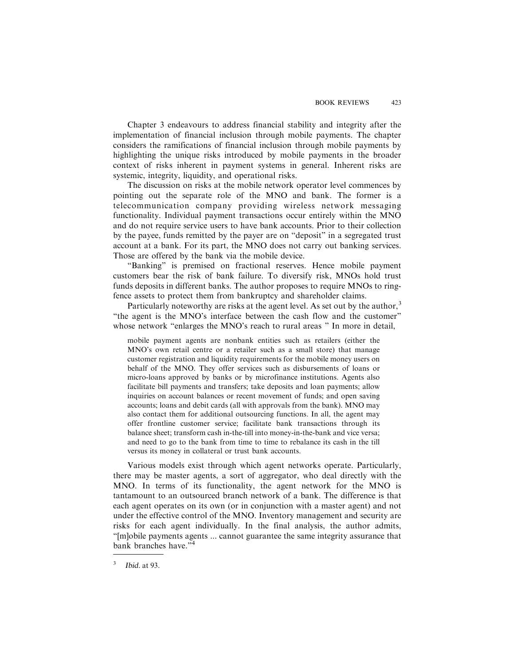Chapter 3 endeavours to address financial stability and integrity after the implementation of financial inclusion through mobile payments. The chapter considers the ramifications of financial inclusion through mobile payments by highlighting the unique risks introduced by mobile payments in the broader context of risks inherent in payment systems in general. Inherent risks are systemic, integrity, liquidity, and operational risks.

The discussion on risks at the mobile network operator level commences by pointing out the separate role of the MNO and bank. The former is a telecommunication company providing wireless network messaging functionality. Individual payment transactions occur entirely within the MNO and do not require service users to have bank accounts. Prior to their collection by the payee, funds remitted by the payer are on "deposit" in a segregated trust account at a bank. For its part, the MNO does not carry out banking services. Those are offered by the bank via the mobile device.

"Banking" is premised on fractional reserves. Hence mobile payment customers bear the risk of bank failure. To diversify risk, MNOs hold trust funds deposits in different banks. The author proposes to require MNOs to ringfence assets to protect them from bankruptcy and shareholder claims.

Particularly noteworthy are risks at the agent level. As set out by the author, $3$ "the agent is the MNO's interface between the cash flow and the customer" whose network "enlarges the MNO's reach to rural areas" In more in detail,

mobile payment agents are nonbank entities such as retailers (either the MNO's own retail centre or a retailer such as a small store) that manage customer registration and liquidity requirements for the mobile money users on behalf of the MNO. They offer services such as disbursements of loans or micro-loans approved by banks or by microfinance institutions. Agents also facilitate bill payments and transfers; take deposits and loan payments; allow inquiries on account balances or recent movement of funds; and open saving accounts; loans and debit cards (all with approvals from the bank). MNO may also contact them for additional outsourcing functions. In all, the agent may offer frontline customer service; facilitate bank transactions through its balance sheet; transform cash in-the-till into money-in-the-bank and vice versa; and need to go to the bank from time to time to rebalance its cash in the till versus its money in collateral or trust bank accounts.

Various models exist through which agent networks operate. Particularly, there may be master agents, a sort of aggregator, who deal directly with the MNO. In terms of its functionality, the agent network for the MNO is tantamount to an outsourced branch network of a bank. The difference is that each agent operates on its own (or in conjunction with a master agent) and not under the effective control of the MNO. Inventory management and security are risks for each agent individually. In the final analysis, the author admits, "[m]obile payments agents ... cannot guarantee the same integrity assurance that bank branches have."<sup>4</sup>

<sup>3</sup> Ibid. at 93.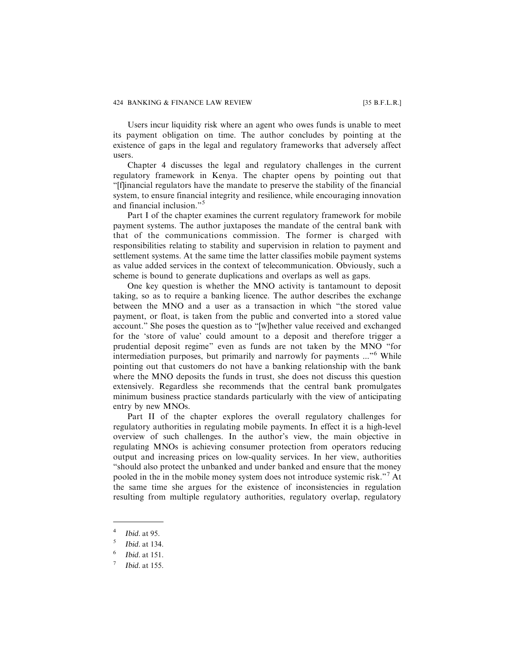#### 424 BANKING & FINANCE LAW REVIEW [35 B.F.L.R.]

Users incur liquidity risk where an agent who owes funds is unable to meet its payment obligation on time. The author concludes by pointing at the existence of gaps in the legal and regulatory frameworks that adversely affect users.

Chapter 4 discusses the legal and regulatory challenges in the current regulatory framework in Kenya. The chapter opens by pointing out that "[f]inancial regulators have the mandate to preserve the stability of the financial system, to ensure financial integrity and resilience, while encouraging innovation and financial inclusion."<sup>5</sup>

Part I of the chapter examines the current regulatory framework for mobile payment systems. The author juxtaposes the mandate of the central bank with that of the communications commission. The former is charged with responsibilities relating to stability and supervision in relation to payment and settlement systems. At the same time the latter classifies mobile payment systems as value added services in the context of telecommunication. Obviously, such a scheme is bound to generate duplications and overlaps as well as gaps.

One key question is whether the MNO activity is tantamount to deposit taking, so as to require a banking licence. The author describes the exchange between the MNO and a user as a transaction in which "the stored value payment, or float, is taken from the public and converted into a stored value account." She poses the question as to "[w]hether value received and exchanged for the 'store of value' could amount to a deposit and therefore trigger a prudential deposit regime" even as funds are not taken by the MNO "for intermediation purposes, but primarily and narrowly for payments ..."<sup>6</sup> While pointing out that customers do not have a banking relationship with the bank where the MNO deposits the funds in trust, she does not discuss this question extensively. Regardless she recommends that the central bank promulgates minimum business practice standards particularly with the view of anticipating entry by new MNOs.

Part II of the chapter explores the overall regulatory challenges for regulatory authorities in regulating mobile payments. In effect it is a high-level overview of such challenges. In the author's view, the main objective in regulating MNOs is achieving consumer protection from operators reducing output and increasing prices on low-quality services. In her view, authorities "should also protect the unbanked and under banked and ensure that the money pooled in the in the mobile money system does not introduce systemic risk."<sup>7</sup> At the same time she argues for the existence of inconsistencies in regulation resulting from multiple regulatory authorities, regulatory overlap, regulatory

 $4$  Ibid. at 95.

 $<sup>5</sup>$  Ibid. at 134.</sup>

 $6$  Ibid. at 151.

Ibid. at 155.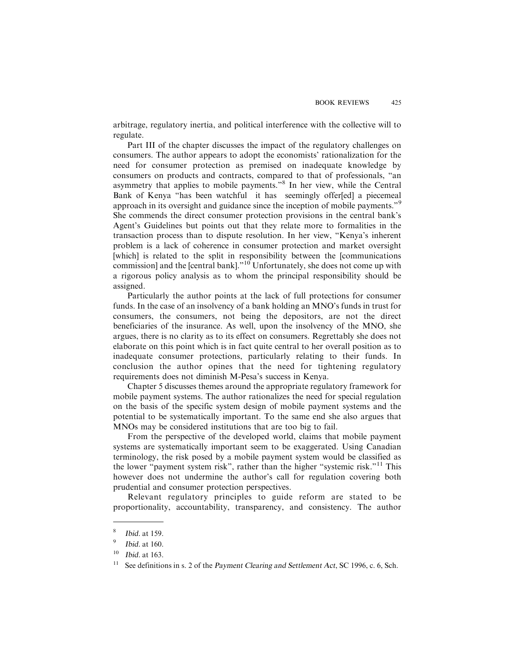arbitrage, regulatory inertia, and political interference with the collective will to regulate.

Part III of the chapter discusses the impact of the regulatory challenges on consumers. The author appears to adopt the economists' rationalization for the need for consumer protection as premised on inadequate knowledge by consumers on products and contracts, compared to that of professionals, "an asymmetry that applies to mobile payments."<sup>8</sup> In her view, while the Central Bank of Kenya "has been watchful it has seemingly offer[ed] a piecemeal approach in its oversight and guidance since the inception of mobile payments."<sup>9</sup> She commends the direct consumer protection provisions in the central bank's Agent's Guidelines but points out that they relate more to formalities in the transaction process than to dispute resolution. In her view, "Kenya's inherent problem is a lack of coherence in consumer protection and market oversight [which] is related to the split in responsibility between the [communications] commission] and the [central bank]. $10^{\circ}$  Unfortunately, she does not come up with a rigorous policy analysis as to whom the principal responsibility should be assigned.

Particularly the author points at the lack of full protections for consumer funds. In the case of an insolvency of a bank holding an MNO's funds in trust for consumers, the consumers, not being the depositors, are not the direct beneficiaries of the insurance. As well, upon the insolvency of the MNO, she argues, there is no clarity as to its effect on consumers. Regrettably she does not elaborate on this point which is in fact quite central to her overall position as to inadequate consumer protections, particularly relating to their funds. In conclusion the author opines that the need for tightening regulatory requirements does not diminish M-Pesa's success in Kenya.

Chapter 5 discusses themes around the appropriate regulatory framework for mobile payment systems. The author rationalizes the need for special regulation on the basis of the specific system design of mobile payment systems and the potential to be systematically important. To the same end she also argues that MNOs may be considered institutions that are too big to fail.

From the perspective of the developed world, claims that mobile payment systems are systematically important seem to be exaggerated. Using Canadian terminology, the risk posed by a mobile payment system would be classified as the lower "payment system risk", rather than the higher "systemic risk."<sup>11</sup> This however does not undermine the author's call for regulation covering both prudential and consumer protection perspectives.

Relevant regulatory principles to guide reform are stated to be proportionality, accountability, transparency, and consistency. The author

<sup>8</sup> Ibid. at 159.

 $9$  Ibid. at 160.

 $10$  Ibid. at 163.

<sup>&</sup>lt;sup>11</sup> See definitions in s. 2 of the Payment Clearing and Settlement Act, SC 1996, c. 6, Sch.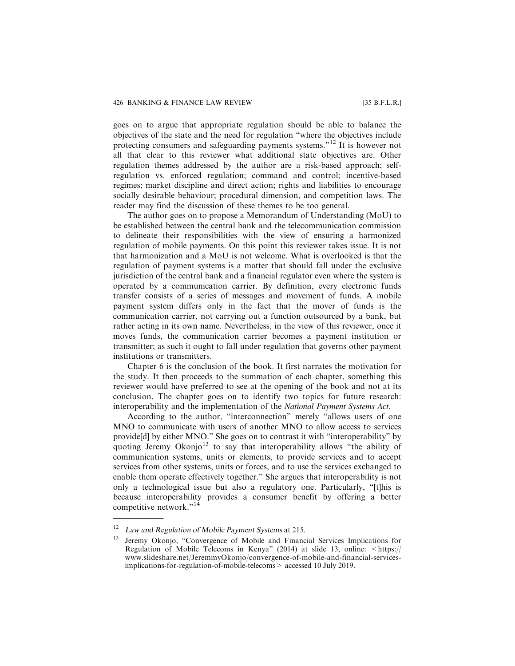goes on to argue that appropriate regulation should be able to balance the objectives of the state and the need for regulation "where the objectives include protecting consumers and safeguarding payments systems."<sup>12</sup> It is however not all that clear to this reviewer what additional state objectives are. Other regulation themes addressed by the author are a risk-based approach; selfregulation vs. enforced regulation; command and control; incentive-based regimes; market discipline and direct action; rights and liabilities to encourage socially desirable behaviour; procedural dimension, and competition laws. The reader may find the discussion of these themes to be too general.

The author goes on to propose a Memorandum of Understanding (MoU) to be established between the central bank and the telecommunication commission to delineate their responsibilities with the view of ensuring a harmonized regulation of mobile payments. On this point this reviewer takes issue. It is not that harmonization and a MoU is not welcome. What is overlooked is that the regulation of payment systems is a matter that should fall under the exclusive jurisdiction of the central bank and a financial regulator even where the system is operated by a communication carrier. By definition, every electronic funds transfer consists of a series of messages and movement of funds. A mobile payment system differs only in the fact that the mover of funds is the communication carrier, not carrying out a function outsourced by a bank, but rather acting in its own name. Nevertheless, in the view of this reviewer, once it moves funds, the communication carrier becomes a payment institution or transmitter; as such it ought to fall under regulation that governs other payment institutions or transmitters.

Chapter 6 is the conclusion of the book. It first narrates the motivation for the study. It then proceeds to the summation of each chapter, something this reviewer would have preferred to see at the opening of the book and not at its conclusion. The chapter goes on to identify two topics for future research: interoperability and the implementation of the *National Payment Systems Act*.

According to the author, "interconnection" merely "allows users of one MNO to communicate with users of another MNO to allow access to services provide[d] by either MNO." She goes on to contrast it with "interoperability" by quoting Jeremy Okonjo<sup>13</sup> to say that interoperability allows "the ability of communication systems, units or elements, to provide services and to accept services from other systems, units or forces, and to use the services exchanged to enable them operate effectively together." She argues that interoperability is not only a technological issue but also a regulatory one. Particularly, "[t]his is because interoperability provides a consumer benefit by offering a better competitive network."<sup>14</sup>

Law and Regulation of Mobile Payment Systems at 215.

<sup>&</sup>lt;sup>13</sup> Jeremy Okonjo, "Convergence of Mobile and Financial Services Implications for Regulation of Mobile Telecoms in Kenya" (2014) at slide 13, online:  $\lt$ https:// www.slideshare.net/JeremmyOkonjo/convergence-of-mobile-and-financial-servicesimplications-for-regulation-of-mobile-telecoms> accessed 10 July 2019.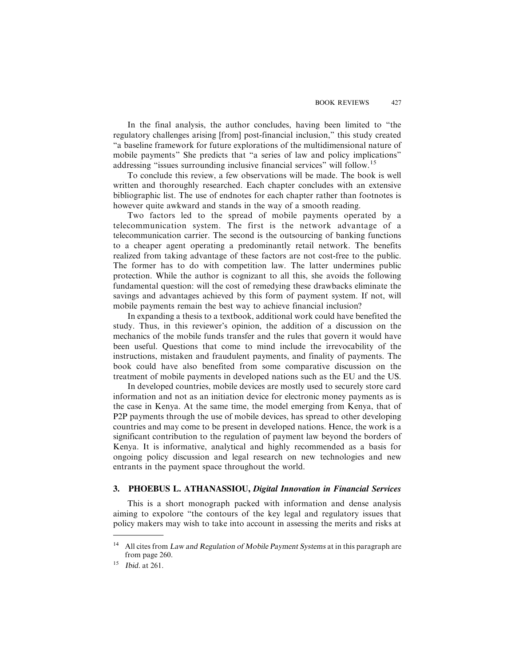In the final analysis, the author concludes, having been limited to "the regulatory challenges arising [from] post-financial inclusion," this study created "a baseline framework for future explorations of the multidimensional nature of mobile payments" She predicts that "a series of law and policy implications" addressing "issues surrounding inclusive financial services" will follow.<sup>15</sup>

To conclude this review, a few observations will be made. The book is well written and thoroughly researched. Each chapter concludes with an extensive bibliographic list. The use of endnotes for each chapter rather than footnotes is however quite awkward and stands in the way of a smooth reading.

Two factors led to the spread of mobile payments operated by a telecommunication system. The first is the network advantage of a telecommunication carrier. The second is the outsourcing of banking functions to a cheaper agent operating a predominantly retail network. The benefits realized from taking advantage of these factors are not cost-free to the public. The former has to do with competition law. The latter undermines public protection. While the author is cognizant to all this, she avoids the following fundamental question: will the cost of remedying these drawbacks eliminate the savings and advantages achieved by this form of payment system. If not, will mobile payments remain the best way to achieve financial inclusion?

In expanding a thesis to a textbook, additional work could have benefited the study. Thus, in this reviewer's opinion, the addition of a discussion on the mechanics of the mobile funds transfer and the rules that govern it would have been useful. Questions that come to mind include the irrevocability of the instructions, mistaken and fraudulent payments, and finality of payments. The book could have also benefited from some comparative discussion on the treatment of mobile payments in developed nations such as the EU and the US.

In developed countries, mobile devices are mostly used to securely store card information and not as an initiation device for electronic money payments as is the case in Kenya. At the same time, the model emerging from Kenya, that of P2P payments through the use of mobile devices, has spread to other developing countries and may come to be present in developed nations. Hence, the work is a significant contribution to the regulation of payment law beyond the borders of Kenya. It is informative, analytical and highly recommended as a basis for ongoing policy discussion and legal research on new technologies and new entrants in the payment space throughout the world.

#### **3. PHOEBUS L. ATHANASSIOU,** *Digital Innovation in Financial Services*

This is a short monograph packed with information and dense analysis aiming to expolore "the contours of the key legal and regulatory issues that policy makers may wish to take into account in assessing the merits and risks at

All cites from Law and Regulation of Mobile Payment Systems at in this paragraph are from page 260.

<sup>15</sup> Ibid. at 261.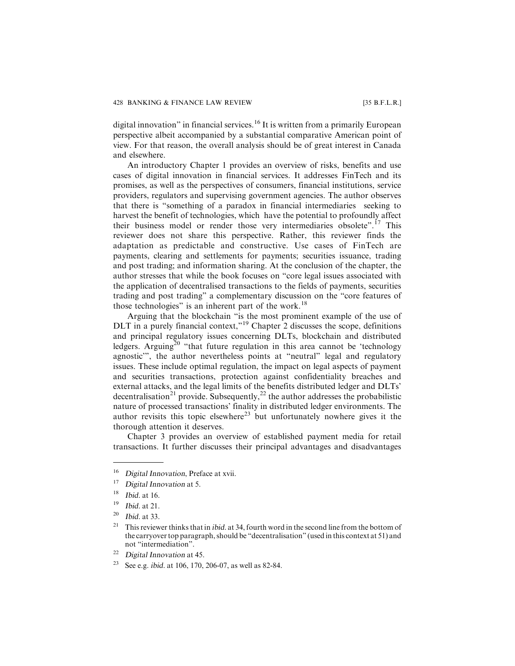digital innovation" in financial services.<sup>16</sup> It is written from a primarily European perspective albeit accompanied by a substantial comparative American point of view. For that reason, the overall analysis should be of great interest in Canada and elsewhere.

An introductory Chapter 1 provides an overview of risks, benefits and use cases of digital innovation in financial services. It addresses FinTech and its promises, as well as the perspectives of consumers, financial institutions, service providers, regulators and supervising government agencies. The author observes that there is "something of a paradox in financial intermediaries seeking to harvest the benefit of technologies, which have the potential to profoundly affect their business model or render those very intermediaries obsolete".<sup>17</sup> This reviewer does not share this perspective. Rather, this reviewer finds the adaptation as predictable and constructive. Use cases of FinTech are payments, clearing and settlements for payments; securities issuance, trading and post trading; and information sharing. At the conclusion of the chapter, the author stresses that while the book focuses on "core legal issues associated with the application of decentralised transactions to the fields of payments, securities trading and post trading" a complementary discussion on the "core features of those technologies" is an inherent part of the work.<sup>18</sup>

Arguing that the blockchain "is the most prominent example of the use of DLT in a purely financial context,"<sup>19</sup> Chapter 2 discusses the scope, definitions and principal regulatory issues concerning DLTs, blockchain and distributed ledgers. Arguing<sup>20</sup> "that future regulation in this area cannot be 'technology agnostic'", the author nevertheless points at "neutral" legal and regulatory issues. These include optimal regulation, the impact on legal aspects of payment and securities transactions, protection against confidentiality breaches and external attacks, and the legal limits of the benefits distributed ledger and DLTs' decentralisation<sup>21</sup> provide. Subsequently,<sup>22</sup> the author addresses the probabilistic nature of processed transactions' finality in distributed ledger environments. The author revisits this topic elsewhere<sup>23</sup> but unfortunately nowhere gives it the thorough attention it deserves.

Chapter 3 provides an overview of established payment media for retail transactions. It further discusses their principal advantages and disadvantages

<sup>&</sup>lt;sup>16</sup> Digital Innovation, Preface at xvii.

<sup>&</sup>lt;sup>17</sup> Digital Innovation at 5.

<sup>18</sup> Ibid. at 16.

<sup>19</sup> Ibid. at 21.

 $20$  Ibid. at 33.

<sup>&</sup>lt;sup>21</sup> This reviewer thinks that in *ibid.* at 34, fourth word in the second line from the bottom of the carryover top paragraph, should be "decentralisation" (used in this context at 51) and not "intermediation".

<sup>22</sup> Digital Innovation at 45.

<sup>23</sup> See e.g. ibid. at 106, 170, 206-07, as well as 82-84.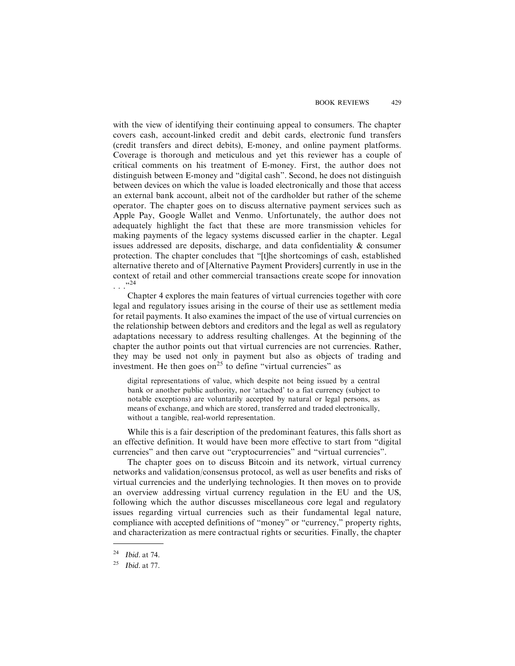with the view of identifying their continuing appeal to consumers. The chapter covers cash, account-linked credit and debit cards, electronic fund transfers (credit transfers and direct debits), E-money, and online payment platforms. Coverage is thorough and meticulous and yet this reviewer has a couple of critical comments on his treatment of E-money. First, the author does not distinguish between E-money and "digital cash". Second, he does not distinguish between devices on which the value is loaded electronically and those that access an external bank account, albeit not of the cardholder but rather of the scheme operator. The chapter goes on to discuss alternative payment services such as Apple Pay, Google Wallet and Venmo. Unfortunately, the author does not adequately highlight the fact that these are more transmission vehicles for making payments of the legacy systems discussed earlier in the chapter. Legal issues addressed are deposits, discharge, and data confidentiality & consumer protection. The chapter concludes that "[t]he shortcomings of cash, established alternative thereto and of [Alternative Payment Providers] currently in use in the context of retail and other commercial transactions create scope for innovation . . ."<sup>24</sup>

Chapter 4 explores the main features of virtual currencies together with core legal and regulatory issues arising in the course of their use as settlement media for retail payments. It also examines the impact of the use of virtual currencies on the relationship between debtors and creditors and the legal as well as regulatory adaptations necessary to address resulting challenges. At the beginning of the chapter the author points out that virtual currencies are not currencies. Rather, they may be used not only in payment but also as objects of trading and investment. He then goes on<sup>25</sup> to define "virtual currencies" as

digital representations of value, which despite not being issued by a central bank or another public authority, nor 'attached' to a fiat currency (subject to notable exceptions) are voluntarily accepted by natural or legal persons, as means of exchange, and which are stored, transferred and traded electronically, without a tangible, real-world representation.

While this is a fair description of the predominant features, this falls short as an effective definition. It would have been more effective to start from "digital currencies" and then carve out "cryptocurrencies" and "virtual currencies".

The chapter goes on to discuss Bitcoin and its network, virtual currency networks and validation/consensus protocol, as well as user benefits and risks of virtual currencies and the underlying technologies. It then moves on to provide an overview addressing virtual currency regulation in the EU and the US, following which the author discusses miscellaneous core legal and regulatory issues regarding virtual currencies such as their fundamental legal nature, compliance with accepted definitions of "money" or "currency," property rights, and characterization as mere contractual rights or securities. Finally, the chapter

<sup>24</sup> Ibid. at 74.

 $25$  Ibid. at 77.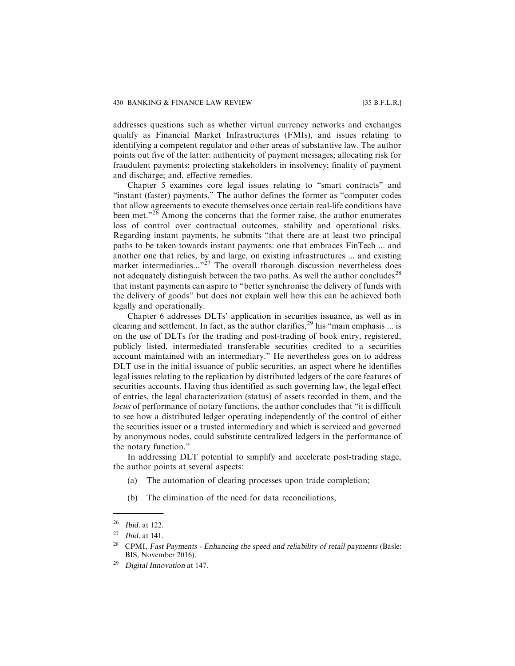addresses questions such as whether virtual currency networks and exchanges qualify as Financial Market Infrastructures (FMIs), and issues relating to identifying a competent regulator and other areas of substantive law. The author points out five of the latter: authenticity of payment messages; allocating risk for fraudulent payments; protecting stakeholders in insolvency; finality of payment and discharge; and, effective remedies.

Chapter 5 examines core legal issues relating to "smart contracts" and "instant (faster) payments." The author defines the former as "computer codes that allow agreements to execute themselves once certain real-life conditions have been met."<sup>26</sup> Among the concerns that the former raise, the author enumerates loss of control over contractual outcomes, stability and operational risks. Regarding instant payments, he submits "that there are at least two principal paths to be taken towards instant payments: one that embraces FinTech ... and another one that relies, by and large, on existing infrastructures ... and existing market intermediaries..."<sup>27</sup> The overall thorough discussion nevertheless does not adequately distinguish between the two paths. As well the author concludes<sup>28</sup> that instant payments can aspire to "better synchronise the delivery of funds with the delivery of goods" but does not explain well how this can be achieved both legally and operationally.

Chapter 6 addresses DLTs' application in securities issuance, as well as in clearing and settlement. In fact, as the author clarifies,  $^{29}$  his "main emphasis ... is on the use of DLTs for the trading and post-trading of book entry, registered, publicly listed, intermediated transferable securities credited to a securities account maintained with an intermediary." He nevertheless goes on to address DLT use in the initial issuance of public securities, an aspect where he identifies legal issues relating to the replication by distributed ledgers of the core features of securities accounts. Having thus identified as such governing law, the legal effect of entries, the legal characterization (status) of assets recorded in them, and the *locus* of performance of notary functions, the author concludes that "it is difficult to see how a distributed ledger operating independently of the control of either the securities issuer or a trusted intermediary and which is serviced and governed by anonymous nodes, could substitute centralized ledgers in the performance of the notary function."

In addressing DLT potential to simplify and accelerate post-trading stage, the author points at several aspects:

- (a) The automation of clearing processes upon trade completion;
- (b) The elimination of the need for data reconciliations,

<sup>26</sup> Ibid. at 122.

 $27$  Ibid. at 141.

<sup>&</sup>lt;sup>28</sup> CPMI, Fast Payments - Enhancing the speed and reliability of retail payments (Basle: BIS, November 2016).

<sup>&</sup>lt;sup>29</sup> Digital Innovation at 147.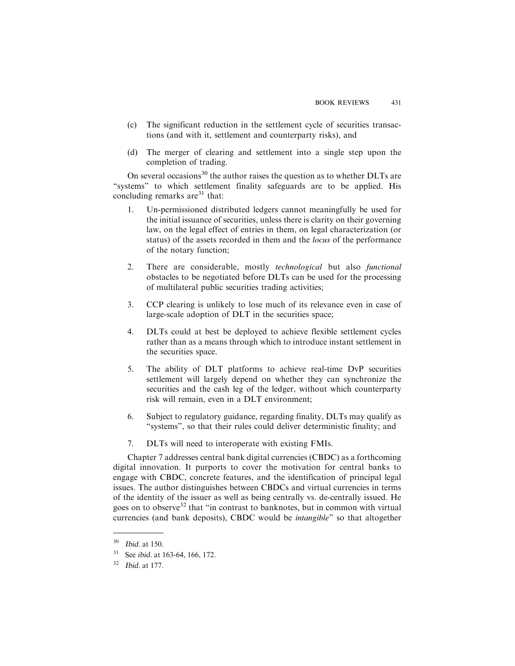- (c) The significant reduction in the settlement cycle of securities transactions (and with it, settlement and counterparty risks), and
- (d) The merger of clearing and settlement into a single step upon the completion of trading.

On several occasions<sup>30</sup> the author raises the question as to whether DLTs are "systems" to which settlement finality safeguards are to be applied. His concluding remarks are  $31$  that:

- 1. Un-permissioned distributed ledgers cannot meaningfully be used for the initial issuance of securities, unless there is clarity on their governing law, on the legal effect of entries in them, on legal characterization (or status) of the assets recorded in them and the *locus* of the performance of the notary function;
- 2. There are considerable, mostly *technological* but also *functional* obstacles to be negotiated before DLTs can be used for the processing of multilateral public securities trading activities;
- 3. CCP clearing is unlikely to lose much of its relevance even in case of large-scale adoption of DLT in the securities space;
- 4. DLTs could at best be deployed to achieve flexible settlement cycles rather than as a means through which to introduce instant settlement in the securities space.
- 5. The ability of DLT platforms to achieve real-time DvP securities settlement will largely depend on whether they can synchronize the securities and the cash leg of the ledger, without which counterparty risk will remain, even in a DLT environment;
- 6. Subject to regulatory guidance, regarding finality, DLTs may qualify as "systems", so that their rules could deliver deterministic finality; and
- 7. DLTs will need to interoperate with existing FMIs.

Chapter 7 addresses central bank digital currencies (CBDC) as a forthcoming digital innovation. It purports to cover the motivation for central banks to engage with CBDC, concrete features, and the identification of principal legal issues. The author distinguishes between CBDCs and virtual currencies in terms of the identity of the issuer as well as being centrally vs. de-centrally issued. He goes on to observe<sup>32</sup> that "in contrast to banknotes, but in common with virtual currencies (and bank deposits), CBDC would be *intangible*" so that altogether

 $30$  Ibid. at 150.

<sup>&</sup>lt;sup>31</sup> See *ibid.* at 163-64, 166, 172.

<sup>32</sup> Ibid. at 177.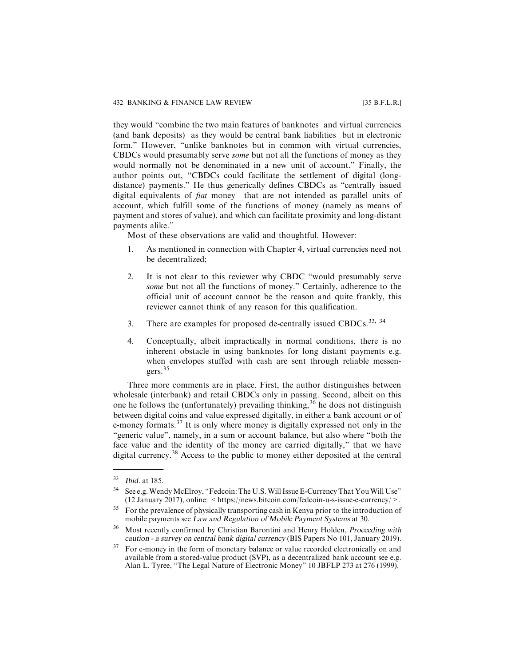they would "combine the two main features of banknotes and virtual currencies (and bank deposits) as they would be central bank liabilities but in electronic form." However, "unlike banknotes but in common with virtual currencies, CBDCs would presumably serve *some* but not all the functions of money as they would normally not be denominated in a new unit of account." Finally, the author points out, "CBDCs could facilitate the settlement of digital (longdistance) payments." He thus generically defines CBDCs as "centrally issued digital equivalents of *fiat* money that are not intended as parallel units of account, which fulfill some of the functions of money (namely as means of payment and stores of value), and which can facilitate proximity and long-distant payments alike."

Most of these observations are valid and thoughtful. However:

- 1. As mentioned in connection with Chapter 4, virtual currencies need not be decentralized;
- 2. It is not clear to this reviewer why CBDC "would presumably serve *some* but not all the functions of money." Certainly, adherence to the official unit of account cannot be the reason and quite frankly, this reviewer cannot think of any reason for this qualification.
- 3. There are examples for proposed de-centrally issued CBDCs.<sup>33, 34</sup>
- 4. Conceptually, albeit impractically in normal conditions, there is no inherent obstacle in using banknotes for long distant payments e.g. when envelopes stuffed with cash are sent through reliable messengers.<sup>35</sup>

Three more comments are in place. First, the author distinguishes between wholesale (interbank) and retail CBDCs only in passing. Second, albeit on this one he follows the (unfortunately) prevailing thinking,  $36$  he does not distinguish between digital coins and value expressed digitally, in either a bank account or of e-money formats.<sup>37</sup> It is only where money is digitally expressed not only in the "generic value", namely, in a sum or account balance, but also where "both the face value and the identity of the money are carried digitally," that we have digital currency.<sup>38</sup> Access to the public to money either deposited at the central

 $33$  Ibid. at 185.

See e.g. Wendy McElroy, "Fedcoin: The U.S. Will Issue E-Currency That You Will Use" (12 January 2017), online: <https://news.bitcoin.com/fedcoin-u-s-issue-e-currency/>.

<sup>&</sup>lt;sup>35</sup> For the prevalence of physically transporting cash in Kenya prior to the introduction of mobile payments see Law and Regulation of Mobile Payment Systems at 30.

<sup>36</sup> Most recently confirmed by Christian Barontini and Henry Holden, Proceeding with caution - <sup>a</sup> survey on central bank digital currency (BIS Papers No 101, January 2019).

<sup>&</sup>lt;sup>37</sup> For e-money in the form of monetary balance or value recorded electronically on and available from a stored-value product (SVP), as a decentralized bank account see e.g. Alan L. Tyree, "The Legal Nature of Electronic Money" 10 JBFLP 273 at 276 (1999).